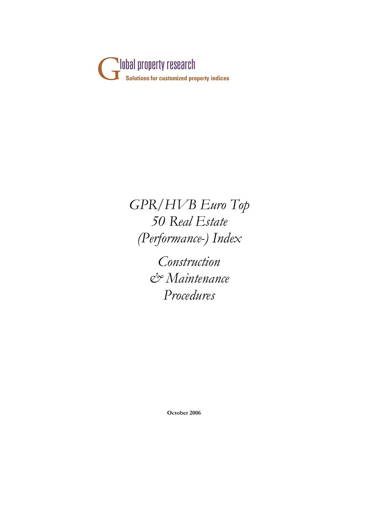

*GPR/HVB Euro Top 50 Real Estate (Performance-) Index*

> *Construction & Maintenance Procedures*

> > **October 2006**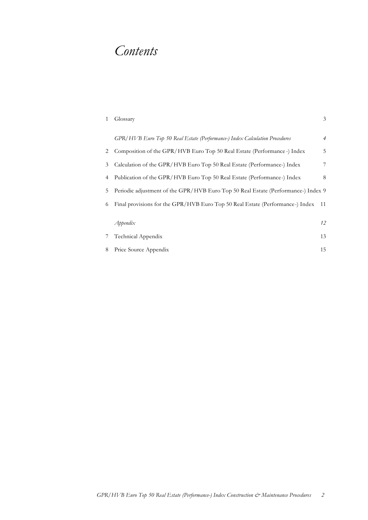# *Contents*

| 1 | Glossary                                                                          | 3              |
|---|-----------------------------------------------------------------------------------|----------------|
|   | GPR/HVB Euro Top 50 Real Estate (Performance-) Index Calculation Procedures       | $\overline{4}$ |
| 2 | Composition of the GPR/HVB Euro Top 50 Real Estate (Performance -) Index          | 5              |
| 3 | Calculation of the GPR/HVB Euro Top 50 Real Estate (Performance-) Index           | 7              |
| 4 | Publication of the GPR/HVB Euro Top 50 Real Estate (Performance-) Index           | 8              |
| 5 | Periodic adjustment of the GPR/HVB Euro Top 50 Real Estate (Performance-) Index 9 |                |
| 6 | Final provisions for the GPR/HVB Euro Top 50 Real Estate (Performance-) Index     | 11             |
|   |                                                                                   |                |
|   | Appendix                                                                          | 12             |
|   | Technical Appendix                                                                | 13             |
| 8 | Price Source Appendix                                                             | 15             |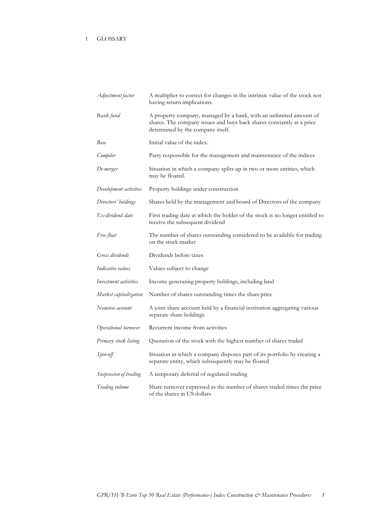| Adjustment factor      | A multiplier to correct for changes in the intrinsic value of the stock not<br>having return implications.                                                                       |
|------------------------|----------------------------------------------------------------------------------------------------------------------------------------------------------------------------------|
| Bank fund              | A property company, managed by a bank, with an unlimited amount of<br>shares. The company issues and buys back shares constantly at a price<br>determined by the company itself. |
| Base                   | Initial value of the index.                                                                                                                                                      |
| Compiler               | Party responsible for the management and maintenance of the indices                                                                                                              |
| De-merger              | Situation in which a company splits up in two or more entities, which<br>may be floated.                                                                                         |
| Development activities | Property holdings under construction                                                                                                                                             |
| Directors' holdings    | Shares held by the management and board of Directors of the company                                                                                                              |
| Ex-dividend date       | First trading date at which the holder of the stock is no longer entitled to<br>receive the subsequent dividend                                                                  |
| Free float             | The number of shares outstanding considered to be available for trading<br>on the stock market                                                                                   |
| Gross dividends        | Dividends before taxes                                                                                                                                                           |
| Indicative values      | Values subject to change                                                                                                                                                         |
| Investment activities  | Income generating property holdings, including land                                                                                                                              |
| Market capitalization  | Number of shares outstanding times the share price                                                                                                                               |
| Nominee account        | A joint share account held by a financial institution aggregating various<br>separate share holdings                                                                             |
| Operational turnover   | Recurrent income from activities                                                                                                                                                 |
| Primary stock listing  | Quotation of the stock with the highest number of shares traded                                                                                                                  |
| Spin-off               | Situation in which a company disposes part of its portfolio by creating a<br>separate entity, which subsequently may be floated                                                  |
| Suspension of trading  | A temporary deferral of regulated trading                                                                                                                                        |
| Trading volume         | Share turnover expressed as the number of shares traded times the price<br>of the shares in US dollars                                                                           |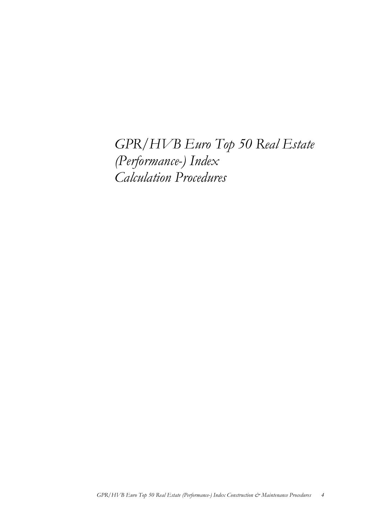*GPR/HVB Euro Top 50 Real Estate (Performance-) Index Calculation Procedures*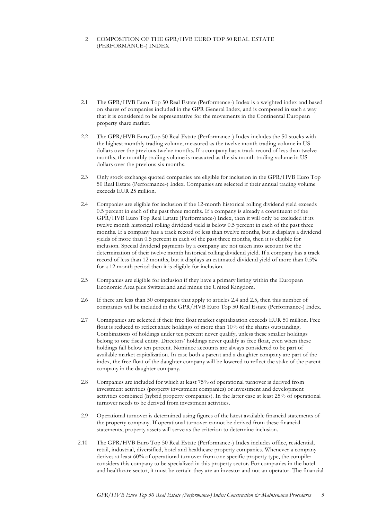# 2 COMPOSITION OF THE GPR/HVB EURO TOP 50 REAL ESTATE (PERFORMANCE-) INDEX

- 2.1 The GPR/HVB Euro Top 50 Real Estate (Performance-) Index is a weighted index and based on shares of companies included in the GPR General Index, and is composed in such a way that it is considered to be representative for the movements in the Continental European property share market.
- 2.2 The GPR/HVB Euro Top 50 Real Estate (Performance-) Index includes the 50 stocks with the highest monthly trading volume, measured as the twelve month trading volume in US dollars over the previous twelve months. If a company has a track record of less than twelve months, the monthly trading volume is measured as the six month trading volume in US dollars over the previous six months.
- 2.3 Only stock exchange quoted companies are eligible for inclusion in the GPR/HVB Euro Top 50 Real Estate (Performance-) Index. Companies are selected if their annual trading volume exceeds EUR 25 million.
- 2.4 Companies are eligible for inclusion if the 12-month historical rolling dividend yield exceeds 0.5 percent in each of the past three months. If a company is already a constituent of the GPR/HVB Euro Top Real Estate (Performance-) Index, then it will only be excluded if its twelve month historical rolling dividend yield is below 0.5 percent in each of the past three months. If a company has a track record of less than twelve months, but it displays a dividend yields of more than 0.5 percent in each of the past three months, then it is eligible for inclusion. Special dividend payments by a company are not taken into account for the determination of their twelve month historical rolling dividend yield. If a company has a track record of less than 12 months, but it displays an estimated dividend yield of more than 0.5% for a 12 month period then it is eligible for inclusion.
- 2.5 Companies are eligible for inclusion if they have a primary listing within the European Economic Area plus Switzerland and minus the United Kingdom.
- 2.6 If there are less than 50 companies that apply to articles 2.4 and 2.5, then this number of companies will be included in the GPR/HVB Euro Top 50 Real Estate (Performance-) Index.
- 2.7 Comnpanies are selected if their free float market capitalization exceeds EUR 50 million. Free float is reduced to reflect share holdings of more than 10% of the shares outstanding. Combinations of holdings under ten percent never qualify, unless these smaller holdings belong to one fiscal entity. Directors' holdings never qualify as free float, even when these holdings fall below ten percent. Nominee accounts are always considered to be part of available market capitalization. In case both a parent and a daughter company are part of the index, the free float of the daughter company will be lowered to reflect the stake of the parent company in the daughter company.
- 2.8 Companies are included for which at least 75% of operational turnover is derived from investment activities (property investment companies) or investment and development activities combined (hybrid property companies). In the latter case at least 25% of operational turnover needs to be derived from investment activities.
- 2.9 Operational turnover is determined using figures of the latest available financial statements of the property company. If operational turnover cannot be derived from these financial statements, property assets will serve as the criterion to determine inclusion.
- 2.10 The GPR/HVB Euro Top 50 Real Estate (Performance-) Index includes office, residential, retail, industrial, diversified, hotel and healthcare property companies. Whenever a company derives at least 60% of operational turnover from one specific property type, the compiler considers this company to be specialized in this property sector. For companies in the hotel and healthcare sector, it must be certain they are an investor and not an operator. The financial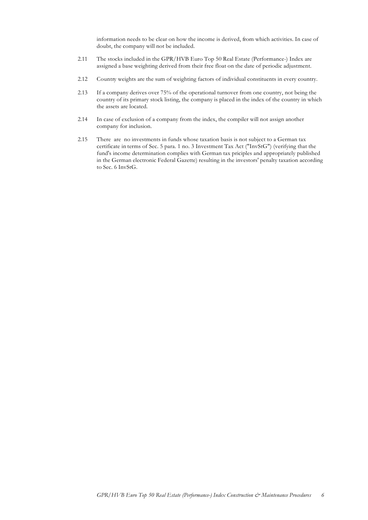information needs to be clear on how the income is derived, from which activities. In case of doubt, the company will not be included.

- 2.11 The stocks included in the GPR/HVB Euro Top 50 Real Estate (Performance-) Index are assigned a base weighting derived from their free float on the date of periodic adjustment.
- 2.12 Country weights are the sum of weighting factors of individual constituents in every country.
- 2.13 If a company derives over 75% of the operational turnover from one country, not being the country of its primary stock listing, the company is placed in the index of the country in which the assets are located.
- 2.14 In case of exclusion of a company from the index, the compiler will not assign another company for inclusion.
- 2.15 There are no investments in funds whose taxation basis is not subject to a German tax certificate in terms of Sec. 5 para. 1 no. 3 Investment Tax Act ("InvStG") (verifying that the fund's income determination complies with German tax priciples and appropriately published in the German electronic Federal Gazette) resulting in the investors' penalty taxation according to Sec. 6 InvStG.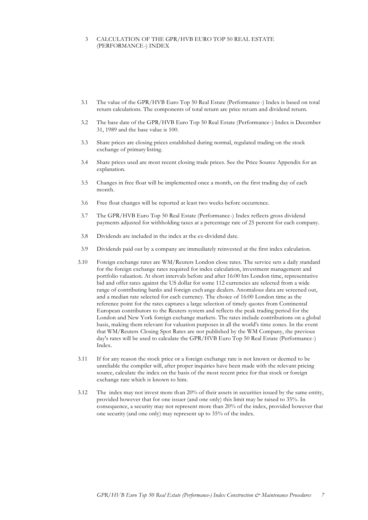#### 3 CALCULATION OF THE GPR/HVB EURO TOP 50 REAL ESTATE (PERFORMANCE-) INDEX

- 3.1 The value of the GPR/HVB Euro Top 50 Real Estate (Performance -) Index is based on total return calculations. The components of total return are price return and dividend return.
- 3.2 The base date of the GPR/HVB Euro Top 50 Real Estate (Performance-) Index is December 31, 1989 and the base value is 100.
- 3.3 Share prices are closing prices established during normal, regulated trading on the stock exchange of primary listing.
- 3.4 Share prices used are most recent closing trade prices. See the Price Source Appendix for an explanation.
- 3.5 Changes in free float will be implemented once a month, on the first trading day of each month.
- 3.6 Free float changes will be reported at least two weeks before occurrence.
- 3.7 The GPR/HVB Euro Top 50 Real Estate (Performance-) Index reflects gross dividend payments adjusted for withholding taxes at a percentage rate of 25 percent for each company.
- 3.8 Dividends are included in the index at the ex-dividend date.
- 3.9 Dividends paid out by a company are immediately reinvested at the first index calculation.
- 3.10 Foreign exchange rates are WM/Reuters London close rates. The service sets a daily standard for the foreign exchange rates required for index calculation, investment management and portfolio valuation. At short intervals before and after 16:00 hrs London time, representative bid and offer rates against the US dollar for some 112 currencies are selected from a wide range of contributing banks and foreign exch ange dealers. Anomalous data are screened out, and a median rate selected for each currency. The choice of 16:00 London time as the reference point for the rates captures a large selection of timely quotes from Continental European contributors to the Reuters system and reflects the peak trading period for the London and New York foreign exchange markets. The rates include contributions on a global basis, making them relevant for valuation purposes in all the world's time zones. In the event that WM/Reuters Closing Spot Rates are not published by the WM Company, the previous day's rates will be used to calculate the GPR/HVB Euro Top 50 Real Estate (Performance-) Index.
- 3.11 If for any reason the stock price or a foreign exchange rate is not known or deemed to be unreliable the compiler will, after proper inquiries have been made with the relevant pricing source, calculate the index on the basis of the most recent price for that stock or foreign exchange rate which is known to him.
- 3.12 The index may not invest more than 20% of their assets in securities issued by the same entity, provided however that for one issuer (and one only) this limit may be raised to 35%. In consequence, a security may not represent more than 20% of the index, provided however that one security (and one only) may represent up to 35% of the index.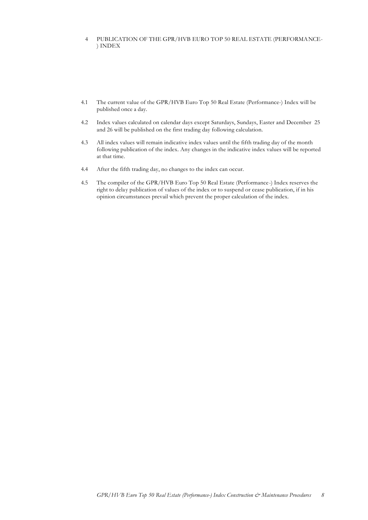# 4 PUBLICATION OF THE GPR/HVB EURO TOP 50 REAL ESTATE (PERFORMANCE- ) INDEX

- 4.1 The current value of the GPR/HVB Euro Top 50 Real Estate (Performance-) Index will be published once a day.
- 4.2 Index values calculated on calendar days except Saturdays, Sundays, Easter and December 25 and 26 will be published on the first trading day following calculation.
- 4.3 All index values will remain indicative index values until the fifth trading day of the month following publication of the index. Any changes in the indicative index values will be reported at that time.
- 4.4 After the fifth trading day, no changes to the index can occur.
- 4.5 The compiler of the GPR/HVB Euro Top 50 Real Estate (Performance-) Index reserves the right to delay publication of values of the index or to suspend or cease publication, if in his opinion circumstances prevail which prevent the proper calculation of the index.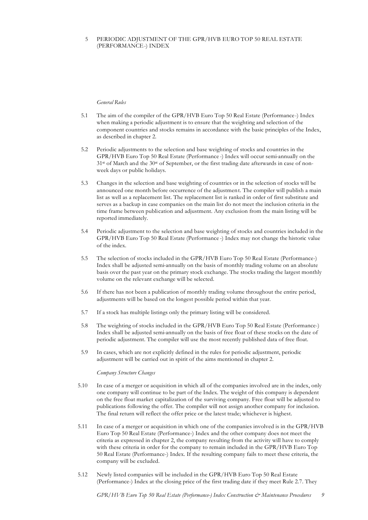## 5 PERIODIC ADJUSTMENT OF THE GPR/HVB EURO TOP 50 REAL ESTATE (PERFORMANCE-) INDEX

#### *General Rules*

- 5.1 The aim of the compiler of the GPR/HVB Euro Top 50 Real Estate (Performance-) Index when making a periodic adjustment is to ensure that the weighting and selection of the component countries and stocks remains in accordance with the basic principles of the Index, as described in chapter 2.
- 5.2 Periodic adjustments to the selection and base weighting of stocks and countries in the GPR/HVB Euro Top 50 Real Estate (Performance -) Index will occur semi-annually on the 31st of March and the 30st of September, or the first trading date afterwards in case of nonweek days or public holidays.
- 5.3 Changes in the selection and base weighting of countries or in the selection of stocks will be announced one month before occurrence of the adjustment. The compiler will publish a main list as well as a replacement list. The replacement list is ranked in order of first substitute and serves as a backup in case companies on the main list do not meet the inclusion criteria in the time frame between publication and adjustment. Any exclusion from the main listing will be reported immediately.
- 5.4 Periodic adjustment to the selection and base weighting of stocks and countries included in the GPR/HVB Euro Top 50 Real Estate (Performance -) Index may not change the historic value of the index.
- 5.5 The selection of stocks included in the GPR/HVB Euro Top 50 Real Estate (Performance-) Index shall be adjusted semi-annually on the basis of monthly trading volume on an absolute basis over the past year on the primary stock exchange. The stocks trading the largest monthly volume on the relevant exchange will be selected.
- 5.6 If there has not been a publication of monthly trading volume throughout the entire period, adjustments will be based on the longest possible period within that year.
- 5.7 If a stock has multiple listings only the primary listing will be considered.
- 5.8 The weighting of stocks included in the GPR/HVB Euro Top 50 Real Estate (Performance-) Index shall be adjusted semi-annually on the basis of free float of these stocks on the date of periodic adjustment. The compiler will use the most recently published data of free float.
- 5.9 In cases, which are not explicitly defined in the rules for periodic adjustment, periodic adjustment will be carried out in spirit of the aims mentioned in chapter 2.

#### *Company Structure Changes*

- 5.10 In case of a merger or acquisition in which all of the companies involved are in the index, only one company will continue to be part of the Index. The weight of this company is dependent on the free float market capitalization of the surviving company. Free float will be adjusted to publications following the offer. The compiler will not assign another company for inclusion. The final return will reflect the offer price or the latest trade; whichever is highest.
- 5.11 In case of a merger or acquisition in which one of the companies involved is in the GPR/HVB Euro Top 50 Real Estate (Performance-) Index and the other company does not meet the criteria as expressed in chapter 2, the company resulting from the activity will have to comply with these criteria in order for the company to remain included in the GPR/HVB Euro Top 50 Real Estate (Performance-) Index. If the resulting company fails to meet these criteria, the company will be excluded.
- 5.12 Newly listed companies will be included in the GPR/HVB Euro Top 50 Real Estate (Performance-) Index at the closing price of the first trading date if they meet Rule 2.7. They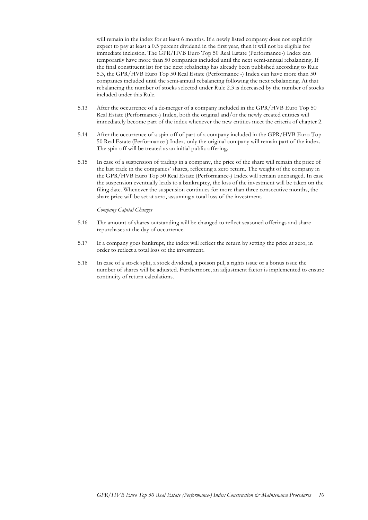will remain in the index for at least 6 months. If a newly listed company does not explicitly expect to pay at least a 0.5 percent dividend in the first year, then it will not be eligible for immediate inclusion. The GPR/HVB Euro Top 50 Real Estate (Performance-) Index can temporarily have more than 50 companies included until the next semi-annual rebalancing. If the final constituent list for the next rebalncing has already been published according to Rule 5.3, the GPR/HVB Euro Top 50 Real Estate (Performance -) Index can have more than 50 companies included until the semi-annual rebalancing following the next rebalancing. At that rebalancing the number of stocks selected under Rule 2.3 is decreased by the number of stocks included under this Rule.

- 5.13 After the occurrence of a de-merger of a company included in the GPR/HVB Euro Top 50 Real Estate (Performance-) Index, both the original and/or the newly created entities will immediately become part of the index whenever the new entities meet the criteria of chapter 2.
- 5.14 After the occurrence of a spin-off of part of a company included in the GPR/HVB Euro Top 50 Real Estate (Performance-) Index, only the original company will remain part of the index. The spin-off will be treated as an initial public offering.
- 5.15 In case of a suspension of trading in a company, the price of the share will remain the price of the last trade in the companies' shares, reflecting a zero return. The weight of the company in the GPR/HVB Euro Top 50 Real Estate (Performance-) Index will remain unchanged. In case the suspension eventually leads to a bankruptcy, the loss of the investment will be taken on the filing date. Whenever the suspension continues for more than three consecutive months, the share price will be set at zero, assuming a total loss of the investment.

#### *Company Capital Changes*

- 5.16 The amount of shares outstanding will be changed to reflect seasoned offerings and share repurchases at the day of occurrence.
- 5.17 If a company goes bankrupt, the index will reflect the return by setting the price at zero, in order to reflect a total loss of the investment.
- 5.18 In case of a stock split, a stock dividend, a poison pill, a rights issue or a bonus issue the number of shares will be adjusted. Furthermore, an adjustment factor is implemented to ensure continuity of return calculations.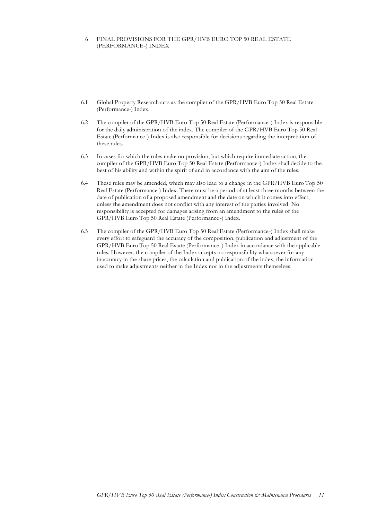## 6 FINAL PROVISIONS FOR THE GPR/HVB EURO TOP 50 REAL ESTATE (PERFORMANCE-) INDEX

- 6.1 Global Property Research acts as the compiler of the GPR/HVB Euro Top 50 Real Estate (Performance-) Index.
- 6.2 The compiler of the GPR/HVB Euro Top 50 Real Estate (Performance-) Index is responsible for the daily administration of the index. The compiler of the GPR/HVB Euro Top 50 Real Estate (Performance-) Index is also responsible for decisions regarding the interpretation of these rules.
- 6.3 In cases for which the rules make no provision, but which require immediate action, the compiler of the GPR/HVB Euro Top 50 Real Estate (Performance-) Index shall decide to the best of his ability and within the spirit of and in accordance with the aim of the rules.
- 6.4 These rules may be amended, which may also lead to a change in the GPR/HVB Euro Top 50 Real Estate (Performance-) Index. There must be a period of at least three months between the date of publication of a proposed amendment and the date on which it comes into effect, unless the amendment does not conflict with any interest of the parties involved. No responsibility is accepted for damages arising from an amendment to the rules of the GPR/HVB Euro Top 50 Real Estate (Performance -) Index.
- 6.5 The compiler of the GPR/HVB Euro Top 50 Real Estate (Performance-) Index shall make every effort to safeguard the accuracy of the composition, publication and adjustment of the GPR/HVB Euro Top 50 Real Estate (Performance -) Index in accordance with the applicable rules. However, the compiler of the Index accepts no responsibility whatsoever for any inaccuracy in the share prices, the calculation and publication of the index, the information used to make adjustments neither in the Index nor in the adjustments themselves.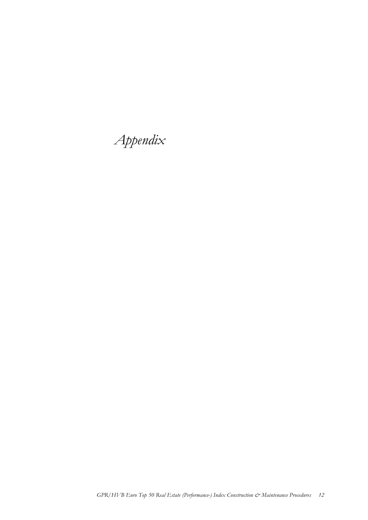*Appendix*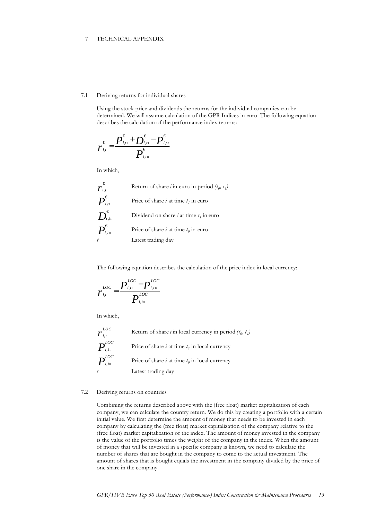## 7 TECHNICAL APPENDIX

#### 7.1 Deriving returns for individual shares

Using the stock price and dividends the returns for the individual companies can be determined. We will assume calculation of the GPR Indices in euro. The following equation describes the calculation of the performance index returns:

$$
r_{i,t}^{\epsilon} = \frac{P_{i,t_1}^{\epsilon} + D_{i,t_1}^{\epsilon} - P_{i,t_0}^{\epsilon}}{P_{i,t_0}^{\epsilon}}
$$

In which,

| $\epsilon$<br>$r_{i,t}$                                                                    | Return of share <i>i</i> in euro in period $(t_0, t_1)$ |
|--------------------------------------------------------------------------------------------|---------------------------------------------------------|
| $\overline{P}_{\scriptscriptstyle i{\scriptscriptstyle f1}}^{\scriptscriptstyle \epsilon}$ | Price of share <i>i</i> at time $t_1$ in euro           |
| $\boldsymbol{D}_{^{i,t1}}^{\boldsymbol{\epsilon}}$                                         | Dividend on share <i>i</i> at time $t_i$ in euro        |
| $\overline{P}_{\scriptscriptstyle i,t\scriptscriptstyle 0}^{\scriptscriptstyle \epsilon}$  | Price of share <i>i</i> at time $t_0$ in euro           |
|                                                                                            | Latest trading day                                      |

The following equation describes the calculation of the price index in local currency:

$$
r_{i,t}^{LOC} = \frac{P_{i,t_1}^{LOC} - P_{i,t_0}^{LOC}}{P_{i,t_0}^{LOC}}
$$

In which,

 $\boldsymbol{r}^{\scriptscriptstyle L \alpha}_{\scriptscriptstyle i,t}$ *LOC* Return of share *i* in local currency in period  $(t_0, t_1)$  $\bm{P}^{\scriptscriptstyle LOC}_{\scriptscriptstyle i,t1}$ *i*,*t*1 Price of share *i* at time *t 1* in local currency  $\bm{P}^{\scriptscriptstyle LOC}_{\scriptscriptstyle i,t0}$ *i*,*t*0 Price of share *i* at time  $t_0$  in local currency *t* Latest trading day

#### 7.2 Deriving returns on countries

Combining the returns described above with the (free float) market capitalization of each company, we can calculate the country return. We do this by creating a portfolio with a certain initial value. We first determine the amount of money that needs to be invested in each company by calculating the (free float) market capitalization of the company relative to the (free float) market capitalization of the index. The amount of money invested in the company is the value of the portfolio times the weight of the company in the index. When the amount of money that will be invested in a specific company is known, we need to calculate the number of shares that are bought in the company to come to the actual investment. The amount of shares that is bought equals the investment in the company divided by the price of one share in the company.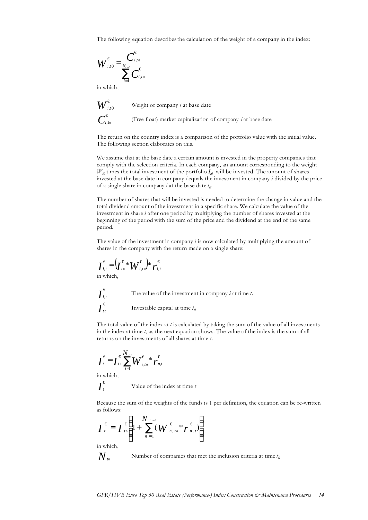The following equation describes the calculation of the weight of a company in the index:

$$
W_{i,t0}^{\epsilon} = \frac{C_{i,t0}^{\epsilon}}{\sum_{i=1}^{N_{t=0}} C_{i,t0}^{\epsilon}}
$$

in which,

$$
W_{\scriptscriptstyle i{\scriptscriptstyle,}0}^{\scriptscriptstyle \epsilon}
$$
 
$$
C_{\scriptscriptstyle i{\scriptscriptstyle,}t{\scriptscriptstyle 0}}^{\scriptscriptstyle \epsilon}
$$

Weight of company *i* at base date

(Free float) market capitalization of company *i* at base date

The return on the country index is a comparison of the portfolio value with the initial value. The following section elaborates on this.

We assume that at the base date a certain amount is invested in the property companies that comply with the selection criteria. In each company, an amount corresponding to the weight  $W_{i0}$  times the total investment of the portfolio  $I_{i0}$  will be invested. The amount of shares invested at the base date in company *i* equals the investment in company *i* divided by the price of a single share in company *i* at the base date *t 0* .

The number of shares that will be invested is needed to determine the change in value and the total dividend amount of the investment in a specific share. We calculate the value of the investment in share *i* after one period by multiplying the number of shares invested at the beginning of the period with the sum of the price and the dividend at the end of the same period.

The value of the investment in company *i* is now calculated by multiplying the amount of shares in the company with the return made on a single share:

$$
\boldsymbol{I}_{i,t}^{\epsilon} = \left(\boldsymbol{I}_{t0}^{\epsilon} \boldsymbol{*} \boldsymbol{W}_{i,t0}^{\epsilon}\right) \boldsymbol{*} \boldsymbol{r}_{i,t}^{\epsilon}
$$

in which,

 $\bm{I}^{\bm{\epsilon}}_{\scriptscriptstyle i,t}$ , The value of the investment in company *i* at time *t*.  $\overline{I}_t^\epsilon$ 0 Investable capital at time *t<sup>0</sup>*

The total value of the index at *t* is calculated by taking the sum of the value of all investments in the index at time *t*, as the next equation shows. The value of the index is the sum of all returns on the investments of all shares at time *t*.

$$
I_t^{\epsilon} = I_{t_0}^{\epsilon \sum_{i=1}^{N_{t-1}} W_{i,t_0}^{\epsilon} * r_{n,t}^{\epsilon}}
$$

in which,

$$
\overline{I}_t^{\epsilon}
$$

Value of the index at time *t*

Because the sum of the weights of the funds is 1 per definition, the equation can be re-written as follows:

$$
\boldsymbol{I}_{t}^{\epsilon} = \boldsymbol{I}_{t0}^{\epsilon} \left( 1 + \sum_{n=1}^{N_{t-1}} (\boldsymbol{W}_{n,t0}^{\epsilon} * \boldsymbol{r}_{n,t}^{\epsilon}) \right)
$$

in which,

$$
N{\scriptstyle_{\scriptscriptstyle f0}}
$$

Number of companies that met the inclusion criteria at time  $t_0$